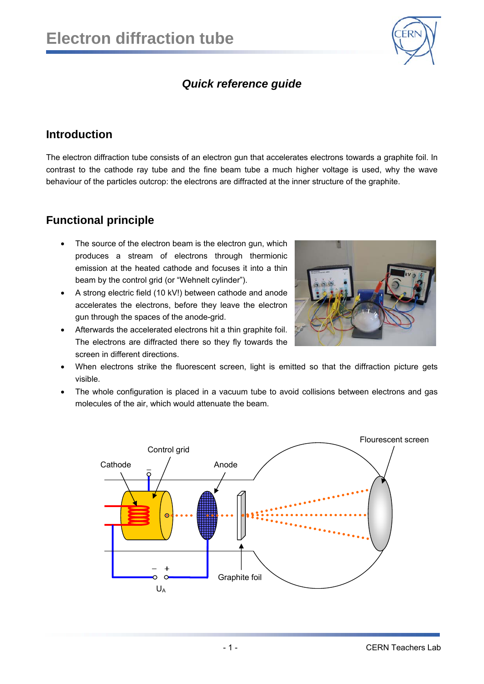

## *Quick reference guide*

#### **Introduction**

The electron diffraction tube consists of an electron gun that accelerates electrons towards a graphite foil. In contrast to the cathode ray tube and the fine beam tube a much higher voltage is used, why the wave behaviour of the particles outcrop: the electrons are diffracted at the inner structure of the graphite.

### **Functional principle**

- The source of the electron beam is the electron gun, which produces a stream of electrons through thermionic emission at the heated cathode and focuses it into a thin beam by the control grid (or "Wehnelt cylinder").
- A strong electric field (10 kV!) between cathode and anode accelerates the electrons, before they leave the electron gun through the spaces of the anode-grid.
- Afterwards the accelerated electrons hit a thin graphite foil. The electrons are diffracted there so they fly towards the screen in different directions.



- When electrons strike the fluorescent screen, light is emitted so that the diffraction picture gets visible.
- The whole configuration is placed in a vacuum tube to avoid collisions between electrons and gas molecules of the air, which would attenuate the beam.

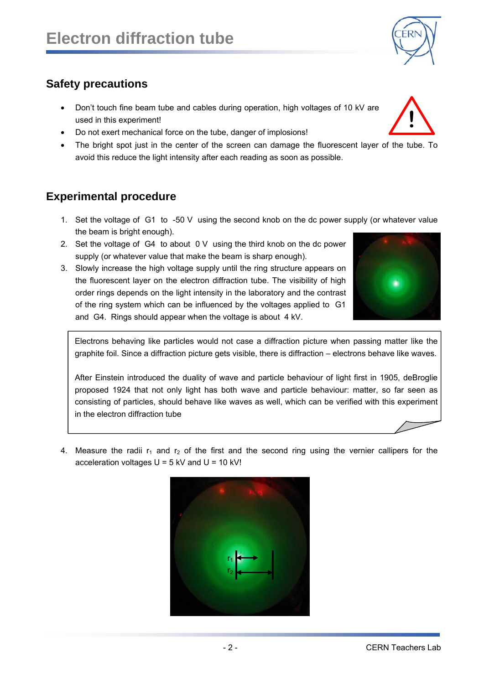# **Safety precautions**

- Don't touch fine beam tube and cables during operation, high voltages of 10 kV are used in this experiment!
- Do not exert mechanical force on the tube, danger of implosions!
- The bright spot just in the center of the screen can damage the fluorescent layer of the tube. To avoid this reduce the light intensity after each reading as soon as possible.

## **Experimental procedure**

- 1. Set the voltage of G1 to -50 V using the second knob on the dc power supply (or whatever value the beam is bright enough).
- 2. Set the voltage of G4 to about 0 V using the third knob on the dc power supply (or whatever value that make the beam is sharp enough).
- 3. Slowly increase the high voltage supply until the ring structure appears on the fluorescent layer on the electron diffraction tube. The visibility of high order rings depends on the light intensity in the laboratory and the contrast of the ring system which can be influenced by the voltages applied to G1 and G4. Rings should appear when the voltage is about 4 kV.

Electrons behaving like particles would not case a diffraction picture when passing matter like the graphite foil. Since a diffraction picture gets visible, there is diffraction – electrons behave like waves.

After Einstein introduced the duality of wave and particle behaviour of light first in 1905, deBroglie proposed 1924 that not only light has both wave and particle behaviour: matter, so far seen as consisting of particles, should behave like waves as well, which can be verified with this experiment in the electron diffraction tube

4. Measure the radii  $r_1$  and  $r_2$  of the first and the second ring using the vernier callipers for the acceleration voltages  $U = 5$  kV and  $U = 10$  kV!







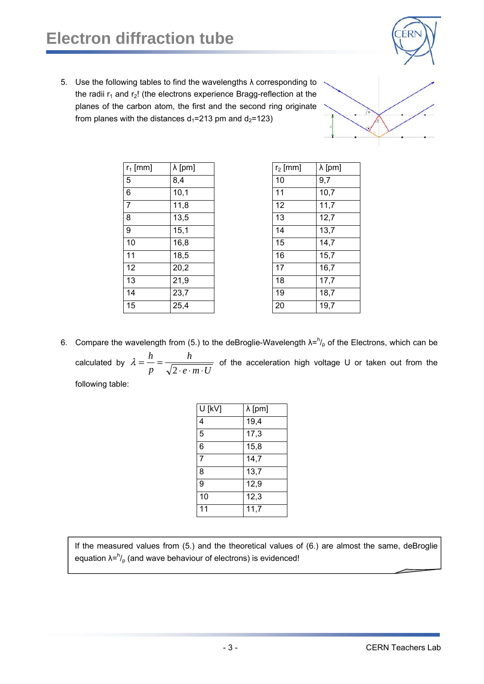# **Electron diffraction tube**



5. Use the following tables to find the wavelengths  $\lambda$  corresponding to the radii  $r_1$  and  $r_2$ ! (the electrons experience Bragg-reflection at the planes of the carbon atom, the first and the second ring originate from planes with the distances  $d_1$ =213 pm and  $d_2$ =123)



| $r_1$ [mm]     | $\lambda$ [pm] | $r_2$ [mm] | $\lambda$ [pm] |
|----------------|----------------|------------|----------------|
| 5              | 8,4            | 10         | 9,7            |
| 6              | 10,1           | 11         | 10,7           |
| $\overline{7}$ | 11,8           | 12         | 11,7           |
| 8              | 13,5           | 13         | 12,7           |
| 9              | 15,1           | 14         | 13,7           |
| 10             | 16,8           | 15         | 14,7           |
| 11             | 18,5           | 16         | 15,7           |
| 12             | 20,2           | 17         | 16,7           |
| 13             | 21,9           | 18         | 17,7           |
| 14             | 23,7           | 19         | 18,7           |
| 15             | 25,4           | 20         | 19,7           |

| $r_2$ [mm] | $\lambda$ [pm] |  |
|------------|----------------|--|
| 10         | 9,7            |  |
| 11         | 10,7           |  |
| 12         | 11,7           |  |
| 13         | 12,7           |  |
| 14         | 13,7           |  |
| 15         | 14,7           |  |
| 16         | 15,7           |  |
| 17         | 16,7           |  |
| 18         | 17,7           |  |
| 19         | 18,7           |  |
| 20         | 19,7           |  |

6. Compare the wavelength from (5.) to the deBroglie-Wavelength  $\lambda = h'_{\rho}$  of the Electrons, which can be calculated by  $e \cdot m \cdot U$ *h p*  $\lambda = \frac{h}{p} = \frac{h}{\sqrt{2 \cdot e \cdot m \cdot U}}$  of the acceleration high voltage U or taken out from the

following table:

| U [kV] | $\lambda$ [pm]    |  |
|--------|-------------------|--|
| 4      | 19,4              |  |
| 5      | $\overline{17,3}$ |  |
| 6      | 15,8              |  |
| 7      | 14,7              |  |
| 8      | 13,7              |  |
| 9      | 12,9              |  |
| 10     | 12,3              |  |
| 11     | 11,7              |  |

If the measured values from (5.) and the theoretical values of (6.) are almost the same, deBroglie equation  $\lambda = h /_{p}$  (and wave behaviour of electrons) is evidenced!